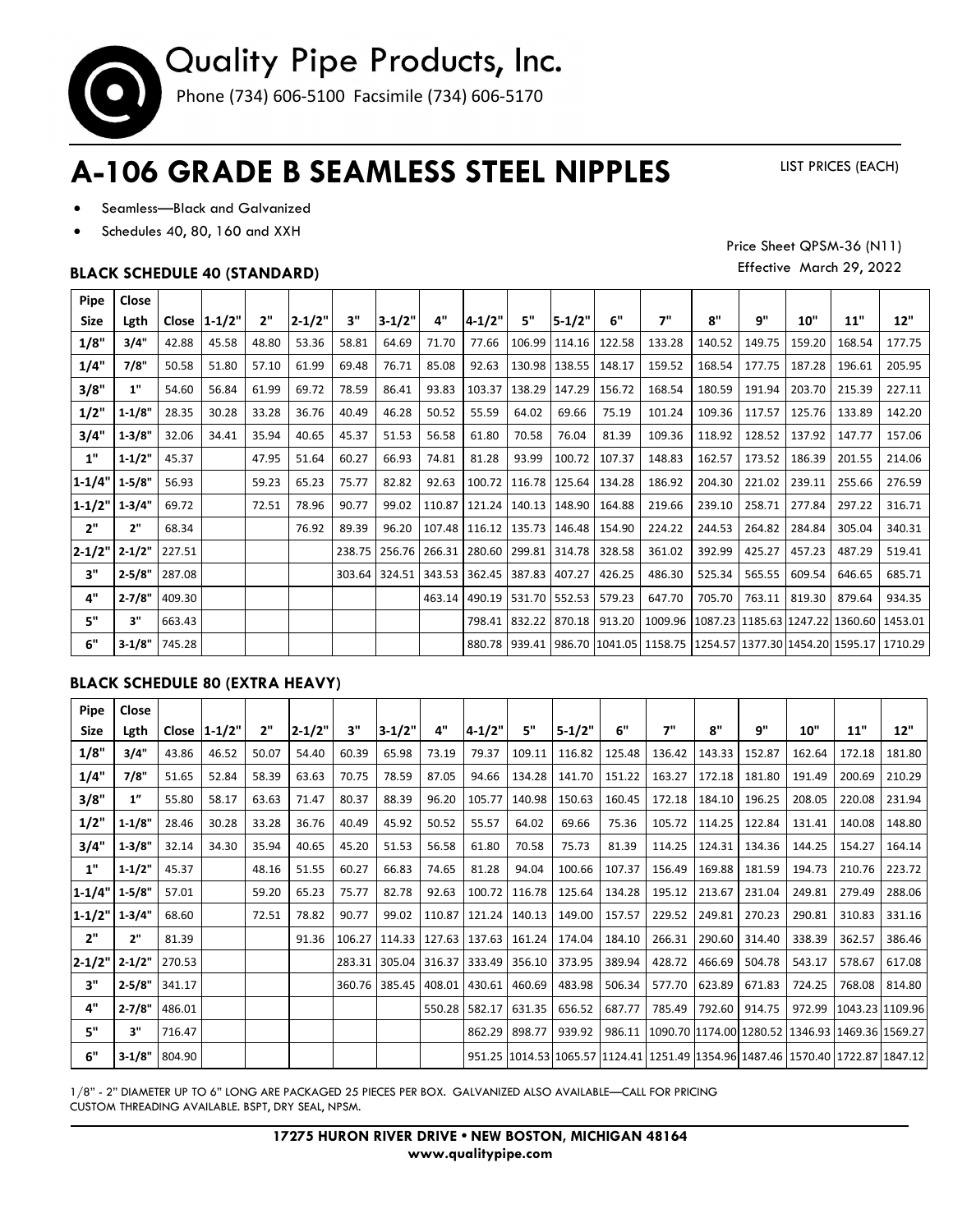

# **A-106 GRADE B SEAMLESS STEEL NIPPLES**

LIST PRICES (EACH)

Price Sheet QPSM-36 (N11) Effective March 29, 2022

- Seamless—Black and Galvanized
- Schedules 40, 80, 160 and XXH

### **BLACK SCHEDULE 40 (STANDARD)**

**Pipe Close Size Lgth Close 1-1/2" 2" 2-1/2" 3" 3-1/2" 4" 4-1/2" 5" 5-1/2" 6" 7" 8" 9" 10" 11" 12" 1/8" 3/4"** 42.88 45.58 48.80 53.36 58.81 64.69 71.70 77.66 106.99 114.16 122.58 133.28 140.52 149.75 159.20 168.54 177.75 **1/4" 7/8"** 50.58 51.80 57.10 61.99 69.48 76.71 85.08 92.63 130.98 138.55 148.17 159.52 168.54 177.75 187.28 196.61 205.95 **3/8" | 1"** |54.60 | 56.84 | 61.99 | 69.72 | 78.59 | 86.41 | 93.83 |103.37 |138.29 |147.29 | 156.72 | 168.54 | 180.59 | 191.94 |203.70 | 215.39 | 227.11 **1/2" |1-1/8"|** 28.35 | 30.28 | 33.28 | 36.76 | 40.49 | 46.28 | 50.52 | 55.59 | 64.02 | 69.66 | 75.19 | 101.24 | 109.36 | 117.57 | 125.76 | 133.89 | 142.20 **3/4" 1-3/8"** 32.06 34.41 35.94 40.65 45.37 51.53 56.58 61.80 70.58 76.04 81.39 109.36 118.92 128.52 137.92 147.77 157.06 **1" 1-1/2"** 45.37 47.95 51.64 60.27 66.93 74.81 81.28 93.99 100.72 107.37 148.83 162.57 173.52 186.39 201.55 214.06 **1-1/4" 1-5/8"** 56.93 59.23 65.23 75.77 82.82 92.63 100.72 116.78 125.64 134.28 186.92 204.30 221.02 239.11 255.66 276.59 **1-1/2" 1-3/4"** 69.72 72.51 78.96 90.77 99.02 110.87 121.24 140.13 148.90 164.88 219.66 239.10 258.71 277.84 297.22 316.71 **2" 2"** 68.34 76.92 89.39 96.20 107.48 116.12 135.73 146.48 154.90 224.22 244.53 264.82 284.84 305.04 340.31 **2-1/2" 2-1/2"** 227.51 238.75 256.76 266.31 280.60 299.81 314.78 328.58 361.02 392.99 425.27 457.23 487.29 519.41 **<b>3"** | 2-5/8" |287.08 | | | | 303.64 | 324.51 |343.53 |362.45 | 387.83 |407.27 | 426.25 | 486.30 | 525.34 | 565.55 | 609.54 | 646.65 | 685.71 **4"** | **2-7/8"** |409.30 | | | | | | | 463.14 |490.19 |531.70 |552.53 | 579.23 | 647.70 | 705.70 | 763.11 |819.30 | 879.64 | 934.35 **5" 3"** 663.43 798.41 832.22 870.18 913.20 1009.96 1087.23 1185.63 1247.22 1360.60 1453.01 **6" 3-1/8"** 745.28 880.78 939.41 986.70 1041.05 1158.75 1254.57 1377.30 1454.20 1595.17 1710.29

#### **BLACK SCHEDULE 80 (EXTRA HEAVY)**

| Pipe                | Close      |        |                 |       |            |        |                          |        |               |        |            |        |        |        |                                                                                                 |        |                 |        |
|---------------------|------------|--------|-----------------|-------|------------|--------|--------------------------|--------|---------------|--------|------------|--------|--------|--------|-------------------------------------------------------------------------------------------------|--------|-----------------|--------|
| <b>Size</b>         | Lgth       |        | Close $ 1-1/2"$ | 2"    | $2 - 1/2"$ | 3"     | $3-1/2"$                 | 4"     | $4 - 1/2"$    | 5"     | $5 - 1/2"$ | 6"     | 7"     | 8"     | q"                                                                                              | 10"    | 11"             | 12"    |
| 1/8"                | 3/4"       | 43.86  | 46.52           | 50.07 | 54.40      | 60.39  | 65.98                    | 73.19  | 79.37         | 109.11 | 116.82     | 125.48 | 136.42 | 143.33 | 152.87                                                                                          | 162.64 | 172.18          | 181.80 |
| 1/4"                | 7/8"       | 51.65  | 52.84           | 58.39 | 63.63      | 70.75  | 78.59                    | 87.05  | 94.66         | 134.28 | 141.70     | 151.22 | 163.27 | 172.18 | 181.80                                                                                          | 191.49 | 200.69          | 210.29 |
| 3/8"                | 1"         | 55.80  | 58.17           | 63.63 | 71.47      | 80.37  | 88.39                    | 96.20  | 105.77        | 140.98 | 150.63     | 160.45 | 172.18 | 184.10 | 196.25                                                                                          | 208.05 | 220.08          | 231.94 |
| 1/2"                | $1 - 1/8"$ | 28.46  | 30.28           | 33.28 | 36.76      | 40.49  | 45.92                    | 50.52  | 55.57         | 64.02  | 69.66      | 75.36  | 105.72 | 114.25 | 122.84                                                                                          | 131.41 | 140.08          | 148.80 |
| 3/4"                | $1-3/8"$   | 32.14  | 34.30           | 35.94 | 40.65      | 45.20  | 51.53                    | 56.58  | 61.80         | 70.58  | 75.73      | 81.39  | 114.25 | 124.31 | 134.36                                                                                          | 144.25 | 154.27          | 164.14 |
| 1"                  | 1.1/2"     | 45.37  |                 | 48.16 | 51.55      | 60.27  | 66.83                    | 74.65  | 81.28         | 94.04  | 100.66     | 107.37 | 156.49 | 169.88 | 181.59                                                                                          | 194.73 | 210.76          | 223.72 |
| $1-1/4"$ 1 - 5/8"   |            | 57.01  |                 | 59.20 | 65.23      | 75.77  | 82.78                    | 92.63  | 100.72        | 116.78 | 125.64     | 134.28 | 195.12 | 213.67 | 231.04                                                                                          | 249.81 | 279.49          | 288.06 |
| $1 - 1/2"$ 1 - 3/4" |            | 68.60  |                 | 72.51 | 78.82      | 90.77  | 99.02                    | 110.87 | 121.24        | 140.13 | 149.00     | 157.57 | 229.52 | 249.81 | 270.23                                                                                          | 290.81 | 310.83          | 331.16 |
| 2"                  | 2"         | 81.39  |                 |       | 91.36      | 106.27 | 114.33   127.63   137.63 |        |               | 161.24 | 174.04     | 184.10 | 266.31 | 290.60 | 314.40                                                                                          | 338.39 | 362.57          | 386.46 |
| $2 - 1/2"$          | $2 - 1/2"$ | 270.53 |                 |       |            | 283.31 | 305.04 316.37 333.49     |        |               | 356.10 | 373.95     | 389.94 | 428.72 | 466.69 | 504.78                                                                                          | 543.17 | 578.67          | 617.08 |
| 3"                  | 2.5/8"     | 341.17 |                 |       |            |        | 360.76 385.45            | 408.01 | 430.61        | 460.69 | 483.98     | 506.34 | 577.70 | 623.89 | 671.83                                                                                          | 724.25 | 768.08          | 814.80 |
| 4"                  | $2 - 7/8"$ | 486.01 |                 |       |            |        |                          |        | 550.28 582.17 | 631.35 | 656.52     | 687.77 | 785.49 | 792.60 | 914.75                                                                                          | 972.99 | 1043.23 1109.96 |        |
| 5"                  | 3"         | 716.47 |                 |       |            |        |                          |        | 862.29        | 898.77 | 939.92     | 986.11 |        |        | 1090.70 1174.00 1280.52 1346.93 1469.36 1569.27                                                 |        |                 |        |
| 6"                  | $3 - 1/8"$ | 804.90 |                 |       |            |        |                          |        |               |        |            |        |        |        | 951.25  1014.53   1065.57   1124.41   1251.49   1354.96   1487.46   1570.40   1722.87   1847.12 |        |                 |        |

1/8" - 2" DIAMETER UP TO 6" LONG ARE PACKAGED 25 PIECES PER BOX. GALVANIZED ALSO AVAILABLE—CALL FOR PRICING CUSTOM THREADING AVAILABLE. BSPT, DRY SEAL, NPSM.